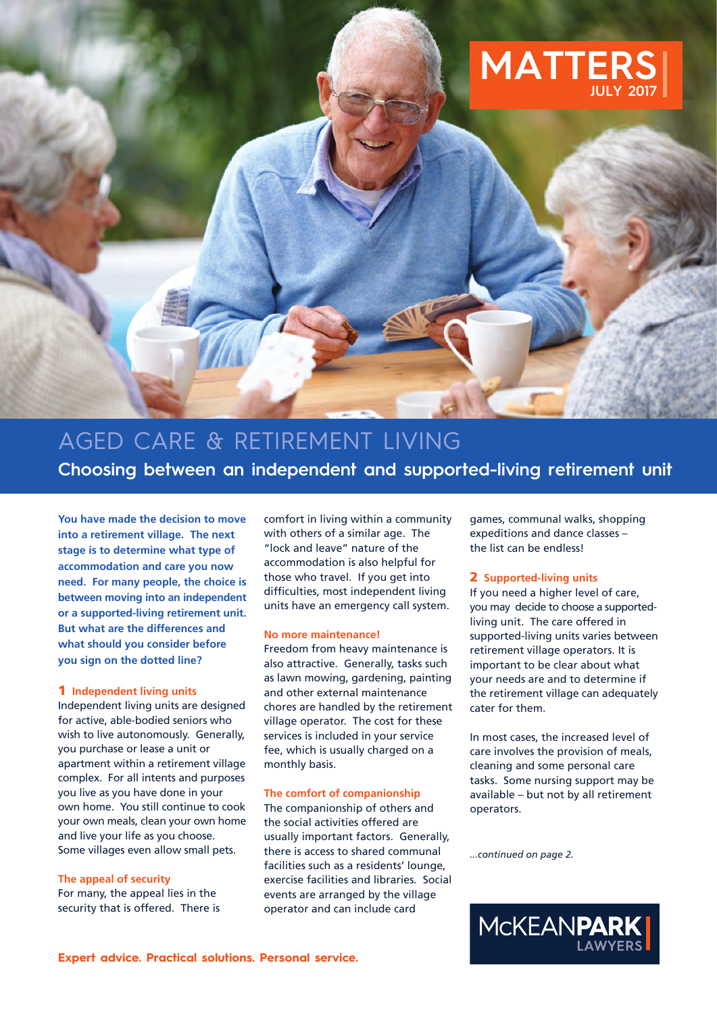

# AGED CARE & RETIREMENT LIVING **Choosing between an independent and supported-living retirement unit**

**You have made the decision to move into a retirement village. The next stage is to determine what type of accommodation and care you now need. For many people, the choice is between moving into an independent or a supported-living retirement unit. But what are the differences and what should you consider before you sign on the dotted line?**

## **1 Independent living units**

Independent living units are designed for active, able-bodied seniors who wish to live autonomously. Generally, you purchase or lease a unit or apartment within a retirement village complex. For all intents and purposes you live as you have done in your own home. You still continue to cook your own meals, clean your own home and live your life as you choose. Some villages even allow small pets.

**The appeal of security** For many, the appeal lies in the security that is offered. There is comfort in living within a community with others of a similar age. The "lock and leave" nature of the accommodation is also helpful for those who travel. If you get into difficulties, most independent living units have an emergency call system.

## **No more maintenance!**

Freedom from heavy maintenance is also attractive. Generally, tasks such as lawn mowing, gardening, painting and other external maintenance chores are handled by the retirement village operator. The cost for these services is included in your service fee, which is usually charged on a monthly basis.

## **The comfort of companionship**

The companionship of others and the social activities offered are usually important factors. Generally, there is access to shared communal facilities such as a residents' lounge, exercise facilities and libraries. Social events are arranged by the village operator and can include card

games, communal walks, shopping expeditions and dance classes – the list can be endless!

## **2 Supported-living units**

If you need a higher level of care, you may decide to choose a supportedliving unit. The care offered in supported-living units varies between retirement village operators. It is important to be clear about what your needs are and to determine if the retirement village can adequately cater for them.

In most cases, the increased level of care involves the provision of meals, cleaning and some personal care tasks. Some nursing support may be available – but not by all retirement operators.

*...continued on page 2.*

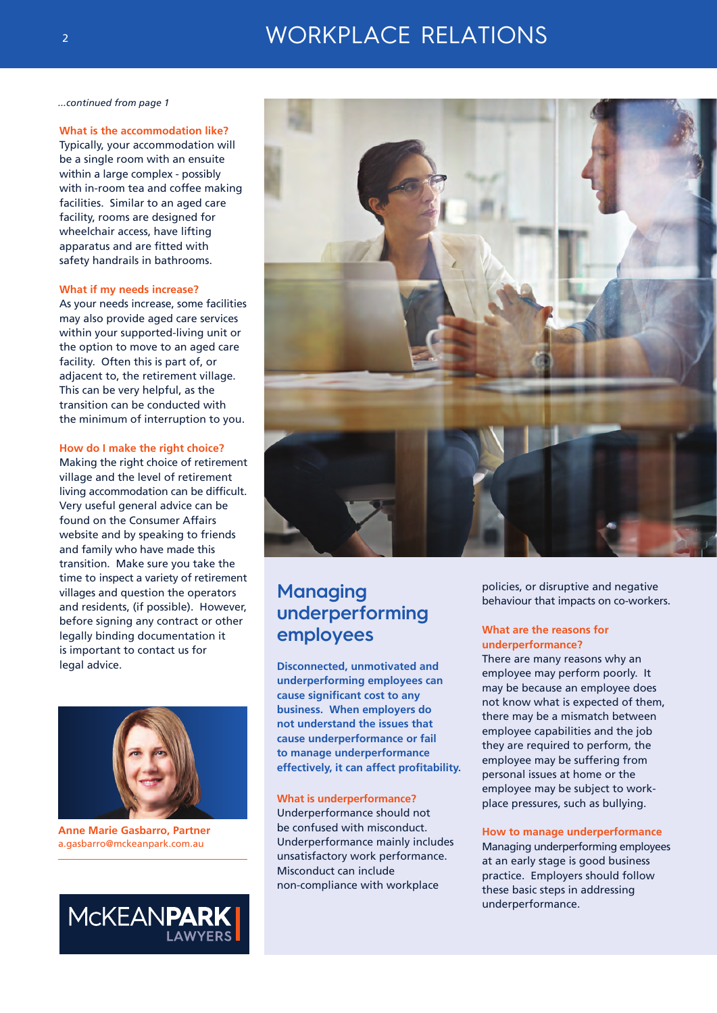# WORKPLACE RELATIONS

*...continued from page 1*

#### **What is the accommodation like?**

Typically, your accommodation will be a single room with an ensuite within a large complex - possibly with in-room tea and coffee making facilities. Similar to an aged care facility, rooms are designed for wheelchair access, have lifting apparatus and are fitted with safety handrails in bathrooms.

#### **What if my needs increase?**

As your needs increase, some facilities may also provide aged care services within your supported-living unit or the option to move to an aged care facility. Often this is part of, or adjacent to, the retirement village. This can be very helpful, as the transition can be conducted with the minimum of interruption to you.

#### **How do I make the right choice?**

Making the right choice of retirement village and the level of retirement living accommodation can be difficult. Very useful general advice can be found on the Consumer Affairs website and by speaking to friends and family who have made this transition. Make sure you take the time to inspect a variety of retirement villages and question the operators and residents, (if possible). However, before signing any contract or other legally binding documentation it is important to contact us for legal advice.



**Anne Marie Gasbarro, Partner** a.gasbarro@mckeanpark.com.au





# **Managing underperforming employees**

**Disconnected, unmotivated and underperforming employees can cause significant cost to any business. When employers do not understand the issues that cause underperformance or fail to manage underperformance effectively, it can affect profitability.**

#### **What is underperformance?**

Underperformance should not be confused with misconduct. Underperformance mainly includes unsatisfactory work performance. Misconduct can include non-compliance with workplace

policies, or disruptive and negative behaviour that impacts on co-workers.

#### **What are the reasons for underperformance?**

There are many reasons why an employee may perform poorly. It may be because an employee does not know what is expected of them, there may be a mismatch between employee capabilities and the job they are required to perform, the employee may be suffering from personal issues at home or the employee may be subject to workplace pressures, such as bullying.

#### **How to manage underperformance**

Managing underperforming employees at an early stage is good business practice. Employers should follow these basic steps in addressing underperformance.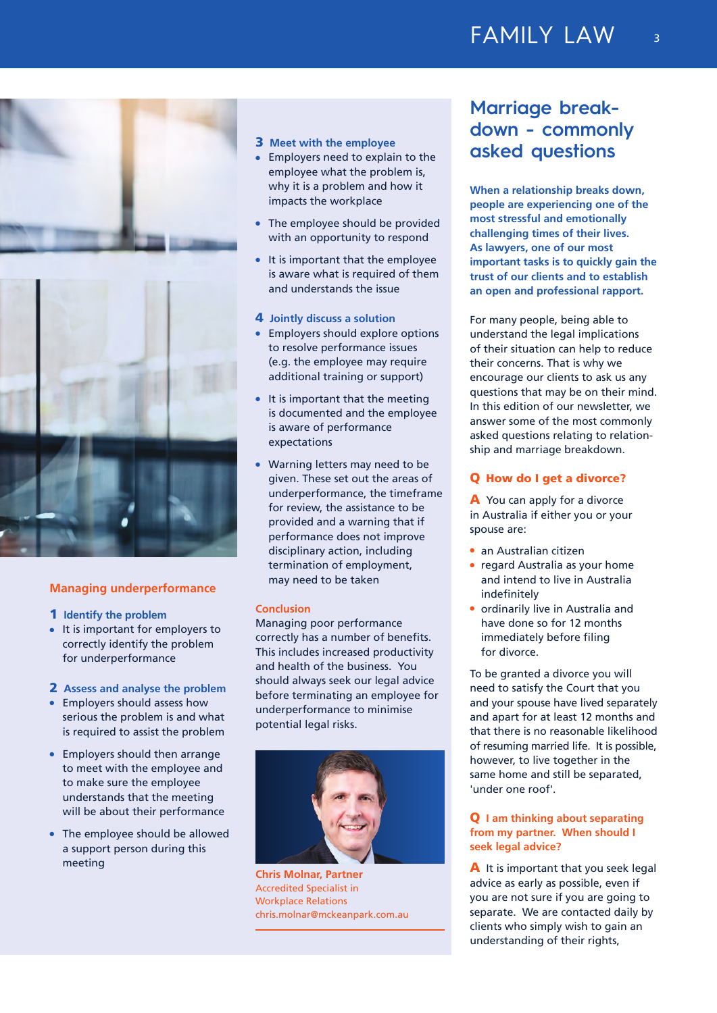# FAMILY LAW



## **Managing underperformance**

- **1 Identify the problem**
- $\bullet$  It is important for employers to correctly identify the problem for underperformance

#### **2 Assess and analyse the problem**

- $\bullet$  Employers should assess how serious the problem is and what is required to assist the problem
- $\bullet$  Employers should then arrange to meet with the employee and to make sure the employee understands that the meeting will be about their performance
- $\bullet$  The employee should be allowed a support person during this meeting

## **3 Meet with the employee**

- **•** Employers need to explain to the employee what the problem is, why it is a problem and how it impacts the workplace
- The employee should be provided with an opportunity to respond
- $\bullet$  It is important that the employee is aware what is required of them and understands the issue

### **4 Jointly discuss a solution**

- Employers should explore options to resolve performance issues (e.g. the employee may require additional training or support)
- $\bullet$  It is important that the meeting is documented and the employee is aware of performance expectations
- Warning letters may need to be given. These set out the areas of underperformance, the timeframe for review, the assistance to be provided and a warning that if performance does not improve disciplinary action, including termination of employment, may need to be taken

#### **Conclusion**

Managing poor performance correctly has a number of benefits. This includes increased productivity and health of the business. You should always seek our legal advice before terminating an employee for underperformance to minimise potential legal risks.



**Chris Molnar, Partner** Accredited Specialist in Workplace Relations chris.molnar@mckeanpark.com.au

# **Marriage breakdown - commonly asked questions**

**When a relationship breaks down, people are experiencing one of the most stressful and emotionally challenging times of their lives. As lawyers, one of our most important tasks is to quickly gain the trust of our clients and to establish an open and professional rapport.**

For many people, being able to understand the legal implications of their situation can help to reduce their concerns. That is why we encourage our clients to ask us any questions that may be on their mind. In this edition of our newsletter, we answer some of the most commonly asked questions relating to relationship and marriage breakdown.

#### **Q How do I get a divorce?**

**A** You can apply for a divorce in Australia if either you or your spouse are:

- **an Australian citizen**
- regard Australia as your home and intend to live in Australia indefinitely
- $\bullet$  ordinarily live in Australia and have done so for 12 months immediately before filing for divorce.

To be granted a divorce you will need to satisfy the Court that you and your spouse have lived separately and apart for at least 12 months and that there is no reasonable likelihood of resuming married life. It is possible, however, to live together in the same home and still be separated, 'under one roof'.

## **Q I am thinking about separating from my partner. When should I seek legal advice?**

**A** It is important that you seek legal advice as early as possible, even if you are not sure if you are going to separate. We are contacted daily by clients who simply wish to gain an understanding of their rights,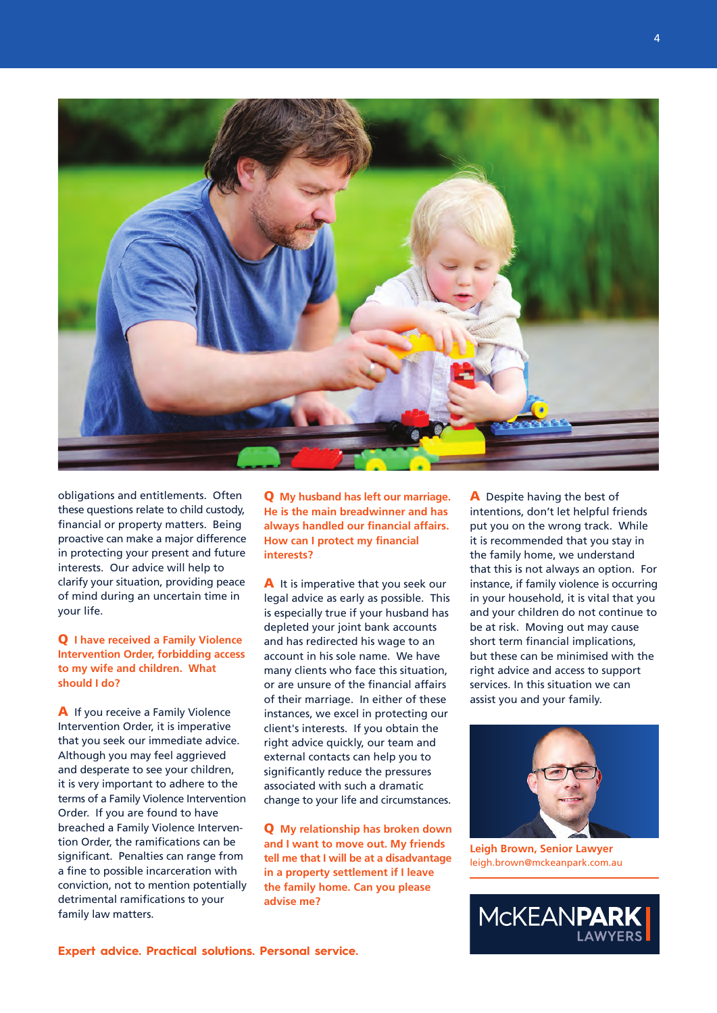

obligations and entitlements. Often these questions relate to child custody, financial or property matters. Being proactive can make a major difference in protecting your present and future interests. Our advice will help to clarify your situation, providing peace of mind during an uncertain time in your life.

**Q I have received a Family Violence Intervention Order, forbidding access to my wife and children. What should I do?**

**A** If you receive a Family Violence Intervention Order, it is imperative that you seek our immediate advice. Although you may feel aggrieved and desperate to see your children, it is very important to adhere to the terms of a Family Violence Intervention Order. If you are found to have breached a Family Violence Intervention Order, the ramifications can be significant. Penalties can range from a fine to possible incarceration with conviction, not to mention potentially detrimental ramifications to your family law matters.

**Q My husband has left our marriage. He is the main breadwinner and has always handled our financial affairs. How can I protect my financial interests?**

**A** It is imperative that you seek our legal advice as early as possible. This is especially true if your husband has depleted your joint bank accounts and has redirected his wage to an account in his sole name. We have many clients who face this situation, or are unsure of the financial affairs of their marriage. In either of these instances, we excel in protecting our client's interests. If you obtain the right advice quickly, our team and external contacts can help you to significantly reduce the pressures associated with such a dramatic change to your life and circumstances.

**Q My relationship has broken down and I want to move out. My friends tell me that I will be at a disadvantage in a property settlement if I leave the family home. Can you please advise me?**

**A** Despite having the best of intentions, don't let helpful friends put you on the wrong track. While it is recommended that you stay in the family home, we understand that this is not always an option. For instance, if family violence is occurring in your household, it is vital that you and your children do not continue to be at risk. Moving out may cause short term financial implications, but these can be minimised with the right advice and access to support services. In this situation we can assist you and your family.



**Leigh Brown, Senior Lawyer** leigh.brown@mckeanpark.com.au

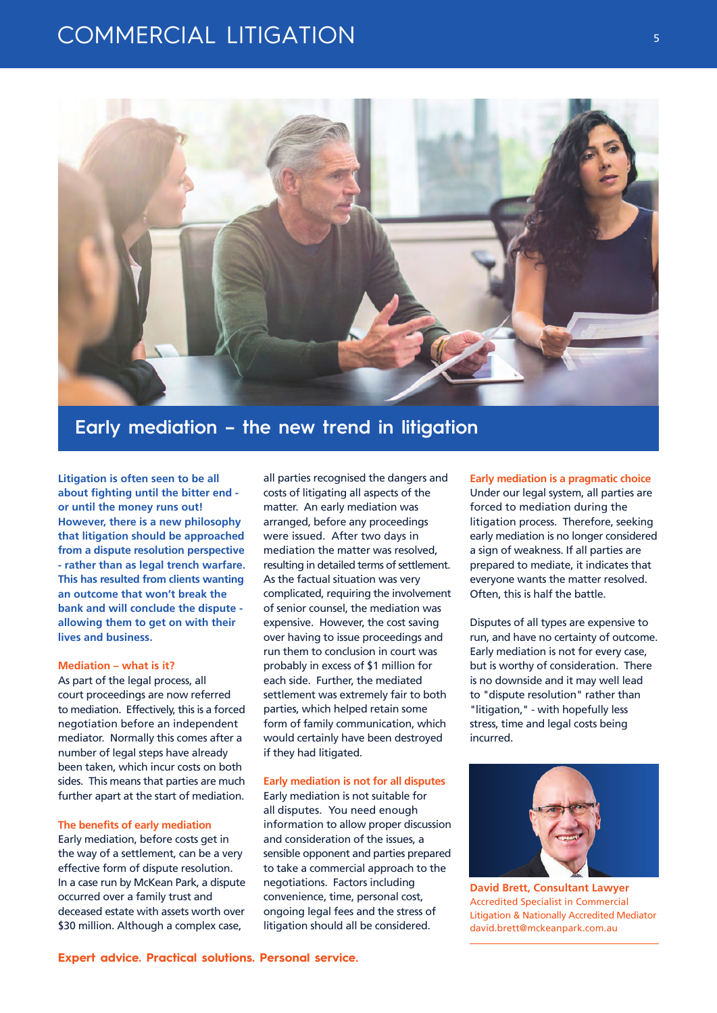# COMMERCIAL LITIGATION



# **Early mediation – the new trend in litigation**

**Litigation is often seen to be all about fighting until the bitter end or until the money runs out! However, there is a new philosophy that litigation should be approached from a dispute resolution perspective - rather than as legal trench warfare. This has resulted from clients wanting an outcome that won't break the bank and will conclude the dispute allowing them to get on with their lives and business.**

#### **Mediation – what is it?**

As part of the legal process, all court proceedings are now referred to mediation. Effectively, this is a forced negotiation before an independent mediator. Normally this comes after a number of legal steps have already been taken, which incur costs on both sides. This means that parties are much further apart at the start of mediation.

### **The benefits of early mediation**

Early mediation, before costs get in the way of a settlement, can be a very effective form of dispute resolution. In a case run by McKean Park, a dispute occurred over a family trust and deceased estate with assets worth over \$30 million. Although a complex case,

all parties recognised the dangers and costs of litigating all aspects of the matter. An early mediation was arranged, before any proceedings were issued. After two days in mediation the matter was resolved, resulting in detailed terms of settlement. As the factual situation was very complicated, requiring the involvement of senior counsel, the mediation was expensive. However, the cost saving over having to issue proceedings and run them to conclusion in court was probably in excess of \$1 million for each side. Further, the mediated settlement was extremely fair to both parties, which helped retain some form of family communication, which would certainly have been destroyed if they had litigated.

#### **Early mediation is not for all disputes**

Early mediation is not suitable for all disputes. You need enough information to allow proper discussion and consideration of the issues, a sensible opponent and parties prepared to take a commercial approach to the negotiations. Factors including convenience, time, personal cost, ongoing legal fees and the stress of litigation should all be considered.

**Early mediation is a pragmatic choice** Under our legal system, all parties are forced to mediation during the litigation process. Therefore, seeking early mediation is no longer considered a sign of weakness. If all parties are prepared to mediate, it indicates that everyone wants the matter resolved. Often, this is half the battle.

Disputes of all types are expensive to run, and have no certainty of outcome. Early mediation is not for every case, but is worthy of consideration. There is no downside and it may well lead to "dispute resolution" rather than "litigation," - with hopefully less stress, time and legal costs being incurred.



**David Brett, Consultant Lawyer** Accredited Specialist in Commercial Litigation & Nationally Accredited Mediator david.brett@mckeanpark.com.au